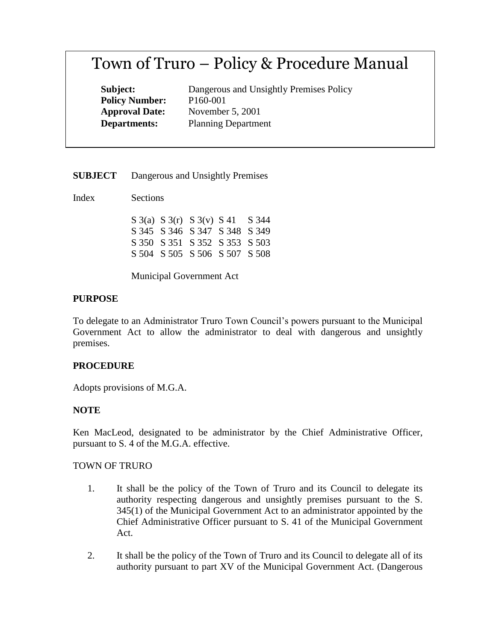# Town of Truro – Policy & Procedure Manual

**Subject:** Dangerous and Unsightly Premises Policy **Policy Number:** P160-001 **Approval Date:** November 5, 2001 **Departments:** Planning Department

**SUBJECT** Dangerous and Unsightly Premises

Index Sections

|  | $S_3(a) S_3(r) S_3(v) S_41 S_344$ |  |
|--|-----------------------------------|--|
|  | S 345 S 346 S 347 S 348 S 349     |  |
|  | S 350 S 351 S 352 S 353 S 503     |  |
|  | S 504 S 505 S 506 S 507 S 508     |  |

Municipal Government Act

## **PURPOSE**

To delegate to an Administrator Truro Town Council's powers pursuant to the Municipal Government Act to allow the administrator to deal with dangerous and unsightly premises.

## **PROCEDURE**

Adopts provisions of M.G.A.

## **NOTE**

Ken MacLeod, designated to be administrator by the Chief Administrative Officer, pursuant to S. 4 of the M.G.A. effective.

#### TOWN OF TRURO

- 1. It shall be the policy of the Town of Truro and its Council to delegate its authority respecting dangerous and unsightly premises pursuant to the S. 345(1) of the Municipal Government Act to an administrator appointed by the Chief Administrative Officer pursuant to S. 41 of the Municipal Government Act.
- 2. It shall be the policy of the Town of Truro and its Council to delegate all of its authority pursuant to part XV of the Municipal Government Act. (Dangerous